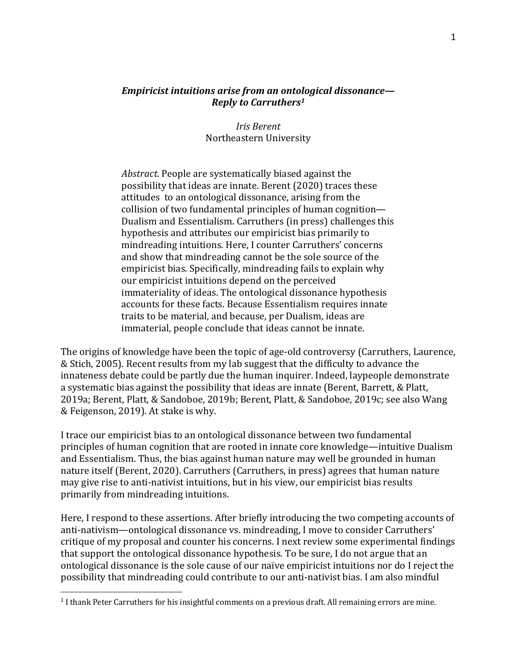### *Empiricist intuitions arise from an ontological dissonance*— *Reply to Carruthers1*

*Iris Berent* Northeastern University

*Abstract.* People are systematically biased against the possibility that ideas are innate. Berent (2020) traces these attitudes to an ontological dissonance, arising from the collision of two fundamental principles of human cognition— Dualism and Essentialism. Carruthers (in press) challenges this hypothesis and attributes our empiricist bias primarily to mindreading intuitions. Here, I counter Carruthers' concerns and show that mindreading cannot be the sole source of the empiricist bias. Specifically, mindreading fails to explain why our empiricist intuitions depend on the perceived immateriality of ideas. The ontological dissonance hypothesis accounts for these facts. Because Essentialism requires innate traits to be material, and because, per Dualism, ideas are immaterial, people conclude that ideas cannot be innate.

The origins of knowledge have been the topic of age-old controversy (Carruthers, Laurence, & Stich, 2005). Recent results from my lab suggest that the difficulty to advance the innateness debate could be partly due the human inquirer. Indeed, laypeople demonstrate a systematic bias against the possibility that ideas are innate (Berent, Barrett, & Platt, 2019a; Berent, Platt, & Sandoboe, 2019b; Berent, Platt, & Sandoboe, 2019c; see also Wang & Feigenson, 2019). At stake is why.

I trace our empiricist bias to an ontological dissonance between two fundamental principles of human cognition that are rooted in innate core knowledge—intuitive Dualism and Essentialism. Thus, the bias against human nature may well be grounded in human nature itself (Berent, 2020). Carruthers (Carruthers, in press) agrees that human nature may give rise to anti-nativist intuitions, but in his view, our empiricist bias results primarily from mindreading intuitions.

Here, I respond to these assertions. After briefly introducing the two competing accounts of anti-nativism—ontological dissonance vs. mindreading, I move to consider Carruthers' critique of my proposal and counter his concerns. I next review some experimental findings that support the ontological dissonance hypothesis. To be sure, I do not argue that an ontological dissonance is the sole cause of our naïve empiricist intuitions nor do I reject the possibility that mindreading could contribute to our anti-nativist bias. I am also mindful

<sup>&</sup>lt;sup>1</sup> I thank Peter Carruthers for his insightful comments on a previous draft. All remaining errors are mine.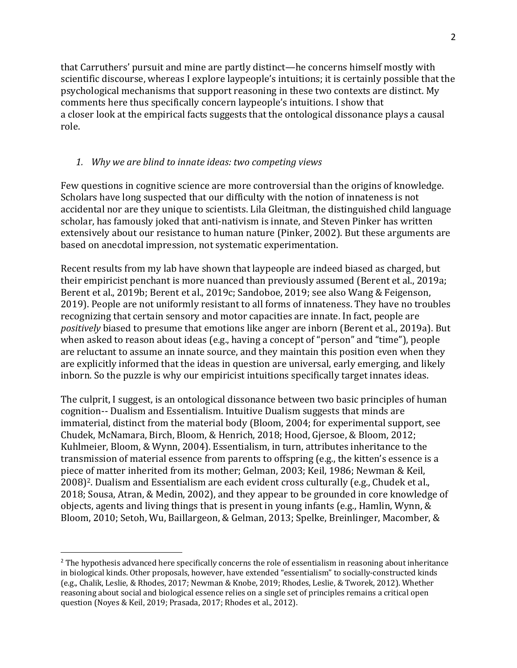that Carruthers' pursuit and mine are partly distinct—he concerns himself mostly with scientific discourse, whereas I explore laypeople's intuitions; it is certainly possible that the psychological mechanisms that support reasoning in these two contexts are distinct. My comments here thus specifically concern laypeople's intuitions. I show that a closer look at the empirical facts suggests that the ontological dissonance plays a causal role. 

## *1. Why we are blind to innate ideas: two competing views*

Few questions in cognitive science are more controversial than the origins of knowledge. Scholars have long suspected that our difficulty with the notion of innateness is not accidental nor are they unique to scientists. Lila Gleitman, the distinguished child language scholar, has famously joked that anti-nativism is innate, and Steven Pinker has written extensively about our resistance to human nature (Pinker, 2002). But these arguments are based on anecdotal impression, not systematic experimentation.

Recent results from my lab have shown that laypeople are indeed biased as charged, but their empiricist penchant is more nuanced than previously assumed (Berent et al., 2019a; Berent et al., 2019b; Berent et al., 2019c; Sandoboe, 2019; see also Wang & Feigenson, 2019). People are not uniformly resistant to all forms of innateness. They have no troubles recognizing that certain sensory and motor capacities are innate. In fact, people are *positively* biased to presume that emotions like anger are inborn (Berent et al., 2019a). But when asked to reason about ideas (e.g., having a concept of "person" and "time"), people are reluctant to assume an innate source, and they maintain this position even when they are explicitly informed that the ideas in question are universal, early emerging, and likely inborn. So the puzzle is why our empiricist intuitions specifically target innates ideas.

The culprit, I suggest, is an ontological dissonance between two basic principles of human cognition-- Dualism and Essentialism. Intuitive Dualism suggests that minds are immaterial, distinct from the material body (Bloom, 2004; for experimental support, see Chudek, McNamara, Birch, Bloom, & Henrich, 2018; Hood, Gjersoe, & Bloom, 2012; Kuhlmeier, Bloom, & Wynn, 2004). Essentialism, in turn, attributes inheritance to the transmission of material essence from parents to offspring (e.g., the kitten's essence is a piece of matter inherited from its mother; Gelman, 2003; Keil, 1986; Newman & Keil, 2008)<sup>2</sup>. Dualism and Essentialism are each evident cross culturally (e.g., Chudek et al., 2018; Sousa, Atran, & Medin, 2002), and they appear to be grounded in core knowledge of objects, agents and living things that is present in young infants (e.g., Hamlin, Wynn,  $&$ Bloom, 2010; Setoh, Wu, Baillargeon, & Gelman, 2013; Spelke, Breinlinger, Macomber, &

 $<sup>2</sup>$  The hypothesis advanced here specifically concerns the role of essentialism in reasoning about inheritance</sup> in biological kinds. Other proposals, however, have extended "essentialism" to socially-constructed kinds (e.g., Chalik, Leslie, & Rhodes, 2017; Newman & Knobe, 2019; Rhodes, Leslie, & Tworek, 2012). Whether reasoning about social and biological essence relies on a single set of principles remains a critical open question (Noyes & Keil, 2019; Prasada, 2017; Rhodes et al., 2012).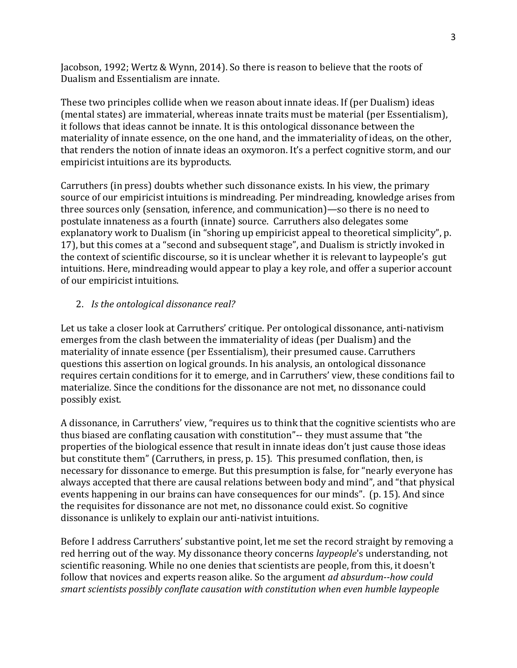Jacobson, 1992; Wertz & Wynn, 2014). So there is reason to believe that the roots of Dualism and Essentialism are innate.

These two principles collide when we reason about innate ideas. If (per Dualism) ideas (mental states) are immaterial, whereas innate traits must be material (per Essentialism), it follows that ideas cannot be innate. It is this ontological dissonance between the materiality of innate essence, on the one hand, and the immateriality of ideas, on the other, that renders the notion of innate ideas an oxymoron. It's a perfect cognitive storm, and our empiricist intuitions are its byproducts.

Carruthers (in press) doubts whether such dissonance exists. In his view, the primary source of our empiricist intuitions is mindreading. Per mindreading, knowledge arises from three sources only (sensation, inference, and communication)—so there is no need to postulate innateness as a fourth (innate) source. Carruthers also delegates some explanatory work to Dualism (in "shoring up empiricist appeal to theoretical simplicity", p. 17), but this comes at a "second and subsequent stage", and Dualism is strictly invoked in the context of scientific discourse, so it is unclear whether it is relevant to laypeople's gut intuitions. Here, mindreading would appear to play a key role, and offer a superior account of our empiricist intuitions.

## 2. *Is the ontological dissonance real?*

Let us take a closer look at Carruthers' critique. Per ontological dissonance, anti-nativism emerges from the clash between the immateriality of ideas (per Dualism) and the materiality of innate essence (per Essentialism), their presumed cause. Carruthers questions this assertion on logical grounds. In his analysis, an ontological dissonance requires certain conditions for it to emerge, and in Carruthers' view, these conditions fail to materialize. Since the conditions for the dissonance are not met, no dissonance could possibly exist.

A dissonance, in Carruthers' view, "requires us to think that the cognitive scientists who are thus biased are conflating causation with constitution"-- they must assume that "the properties of the biological essence that result in innate ideas don't just cause those ideas but constitute them" (Carruthers, in press, p. 15). This presumed conflation, then, is necessary for dissonance to emerge. But this presumption is false, for "nearly everyone has always accepted that there are causal relations between body and mind", and "that physical events happening in our brains can have consequences for our minds". (p. 15). And since the requisites for dissonance are not met, no dissonance could exist. So cognitive dissonance is unlikely to explain our anti-nativist intuitions.

Before I address Carruthers' substantive point, let me set the record straight by removing a red herring out of the way. My dissonance theory concerns *laypeople*'s understanding, not scientific reasoning. While no one denies that scientists are people, from this, it doesn't follow that novices and experts reason alike. So the argument *ad absurdum--how could smart scientists possibly conflate causation with constitution when even humble laypeople*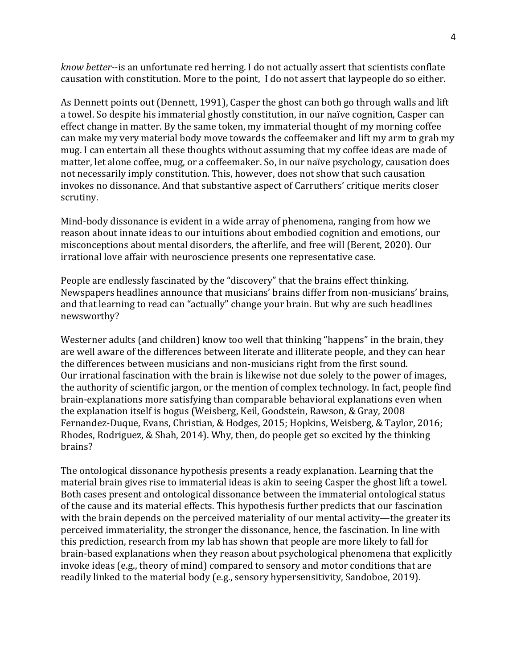*know better*--is an unfortunate red herring. I do not actually assert that scientists conflate causation with constitution. More to the point, I do not assert that laypeople do so either.

As Dennett points out (Dennett, 1991), Casper the ghost can both go through walls and lift a towel. So despite his immaterial ghostly constitution, in our naïve cognition, Casper can effect change in matter. By the same token, my immaterial thought of my morning coffee can make my very material body move towards the coffeemaker and lift my arm to grab my mug. I can entertain all these thoughts without assuming that my coffee ideas are made of matter, let alone coffee, mug, or a coffeemaker. So, in our naïve psychology, causation does not necessarily imply constitution. This, however, does not show that such causation invokes no dissonance. And that substantive aspect of Carruthers' critique merits closer scrutiny. 

Mind-body dissonance is evident in a wide array of phenomena, ranging from how we reason about innate ideas to our intuitions about embodied cognition and emotions, our misconceptions about mental disorders, the afterlife, and free will (Berent, 2020). Our irrational love affair with neuroscience presents one representative case.

People are endlessly fascinated by the "discovery" that the brains effect thinking. Newspapers headlines announce that musicians' brains differ from non-musicians' brains, and that learning to read can "actually" change your brain. But why are such headlines newsworthy? 

Westerner adults (and children) know too well that thinking "happens" in the brain, they are well aware of the differences between literate and illiterate people, and they can hear the differences between musicians and non-musicians right from the first sound. Our irrational fascination with the brain is likewise not due solely to the power of images, the authority of scientific jargon, or the mention of complex technology. In fact, people find brain-explanations more satisfying than comparable behavioral explanations even when the explanation itself is bogus (Weisberg, Keil, Goodstein, Rawson, & Gray, 2008 Fernandez-Duque, Evans, Christian, & Hodges, 2015; Hopkins, Weisberg, & Taylor, 2016; Rhodes, Rodriguez, & Shah, 2014). Why, then, do people get so excited by the thinking brains?

The ontological dissonance hypothesis presents a ready explanation. Learning that the material brain gives rise to immaterial ideas is akin to seeing Casper the ghost lift a towel. Both cases present and ontological dissonance between the immaterial ontological status of the cause and its material effects. This hypothesis further predicts that our fascination with the brain depends on the perceived materiality of our mental activity—the greater its perceived immateriality, the stronger the dissonance, hence, the fascination. In line with this prediction, research from my lab has shown that people are more likely to fall for brain-based explanations when they reason about psychological phenomena that explicitly invoke ideas (e.g., theory of mind) compared to sensory and motor conditions that are readily linked to the material body (e.g., sensory hypersensitivity, Sandoboe, 2019).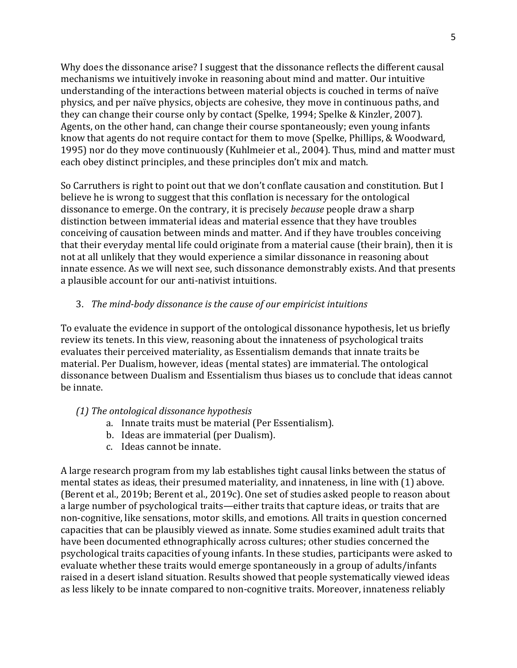Why does the dissonance arise? I suggest that the dissonance reflects the different causal mechanisms we intuitively invoke in reasoning about mind and matter. Our intuitive understanding of the interactions between material objects is couched in terms of naïve physics, and per naïve physics, objects are cohesive, they move in continuous paths, and they can change their course only by contact (Spelke, 1994; Spelke & Kinzler, 2007). Agents, on the other hand, can change their course spontaneously; even young infants know that agents do not require contact for them to move (Spelke, Phillips, & Woodward, 1995) nor do they move continuously (Kuhlmeier et al., 2004). Thus, mind and matter must each obey distinct principles, and these principles don't mix and match.

So Carruthers is right to point out that we don't conflate causation and constitution. But I believe he is wrong to suggest that this conflation is necessary for the ontological dissonance to emerge. On the contrary, it is precisely *because* people draw a sharp distinction between immaterial ideas and material essence that they have troubles conceiving of causation between minds and matter. And if they have troubles conceiving that their everyday mental life could originate from a material cause (their brain), then it is not at all unlikely that they would experience a similar dissonance in reasoning about innate essence. As we will next see, such dissonance demonstrably exists. And that presents a plausible account for our anti-nativist intuitions.

# 3. *The mind-body dissonance is the cause of our empiricist intuitions*

To evaluate the evidence in support of the ontological dissonance hypothesis, let us briefly review its tenets. In this view, reasoning about the innateness of psychological traits evaluates their perceived materiality, as Essentialism demands that innate traits be material. Per Dualism, however, ideas (mental states) are immaterial. The ontological dissonance between Dualism and Essentialism thus biases us to conclude that ideas cannot be innate.

## *(1) The ontological dissonance hypothesis*

- a. Innate traits must be material (Per Essentialism).
- b. Ideas are immaterial (per Dualism).
- c. Ideas cannot be innate.

A large research program from my lab establishes tight causal links between the status of mental states as ideas, their presumed materiality, and innateness, in line with (1) above. (Berent et al., 2019b; Berent et al., 2019c). One set of studies asked people to reason about a large number of psychological traits—either traits that capture ideas, or traits that are non-cognitive, like sensations, motor skills, and emotions. All traits in question concerned capacities that can be plausibly viewed as innate. Some studies examined adult traits that have been documented ethnographically across cultures; other studies concerned the psychological traits capacities of young infants. In these studies, participants were asked to evaluate whether these traits would emerge spontaneously in a group of adults/infants raised in a desert island situation. Results showed that people systematically viewed ideas as less likely to be innate compared to non-cognitive traits. Moreover, innateness reliably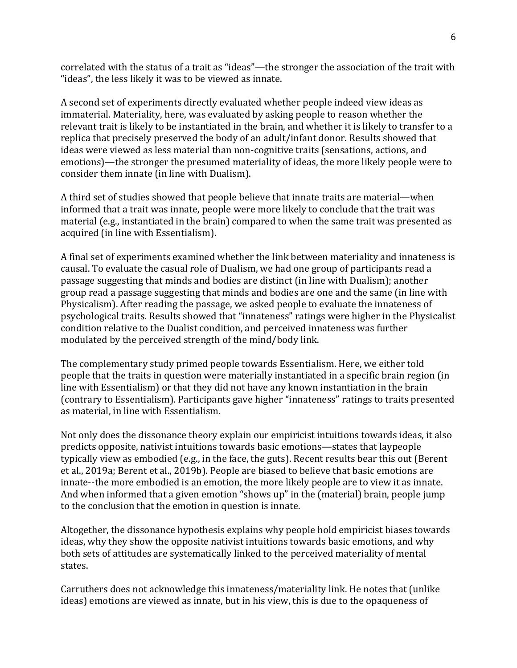correlated with the status of a trait as "ideas"—the stronger the association of the trait with "ideas", the less likely it was to be viewed as innate.

A second set of experiments directly evaluated whether people indeed view ideas as immaterial. Materiality, here, was evaluated by asking people to reason whether the relevant trait is likely to be instantiated in the brain, and whether it is likely to transfer to a replica that precisely preserved the body of an adult/infant donor. Results showed that ideas were viewed as less material than non-cognitive traits (sensations, actions, and emotions)—the stronger the presumed materiality of ideas, the more likely people were to consider them innate (in line with Dualism).

A third set of studies showed that people believe that innate traits are material—when informed that a trait was innate, people were more likely to conclude that the trait was material (e.g., instantiated in the brain) compared to when the same trait was presented as acquired (in line with Essentialism).

A final set of experiments examined whether the link between materiality and innateness is causal. To evaluate the casual role of Dualism, we had one group of participants read a passage suggesting that minds and bodies are distinct (in line with Dualism); another group read a passage suggesting that minds and bodies are one and the same (in line with Physicalism). After reading the passage, we asked people to evaluate the innateness of psychological traits. Results showed that "innateness" ratings were higher in the Physicalist condition relative to the Dualist condition, and perceived innateness was further modulated by the perceived strength of the mind/body link.

The complementary study primed people towards Essentialism. Here, we either told people that the traits in question were materially instantiated in a specific brain region (in line with Essentialism) or that they did not have any known instantiation in the brain (contrary to Essentialism). Participants gave higher "innateness" ratings to traits presented as material, in line with Essentialism.

Not only does the dissonance theory explain our empiricist intuitions towards ideas, it also predicts opposite, nativist intuitions towards basic emotions—states that laypeople typically view as embodied (e.g., in the face, the guts). Recent results bear this out (Berent et al., 2019a; Berent et al., 2019b). People are biased to believe that basic emotions are innate--the more embodied is an emotion, the more likely people are to view it as innate. And when informed that a given emotion "shows up" in the (material) brain, people jump to the conclusion that the emotion in question is innate.

Altogether, the dissonance hypothesis explains why people hold empiricist biases towards ideas, why they show the opposite nativist intuitions towards basic emotions, and why both sets of attitudes are systematically linked to the perceived materiality of mental states. 

Carruthers does not acknowledge this innateness/materiality link. He notes that (unlike ideas) emotions are viewed as innate, but in his view, this is due to the opaqueness of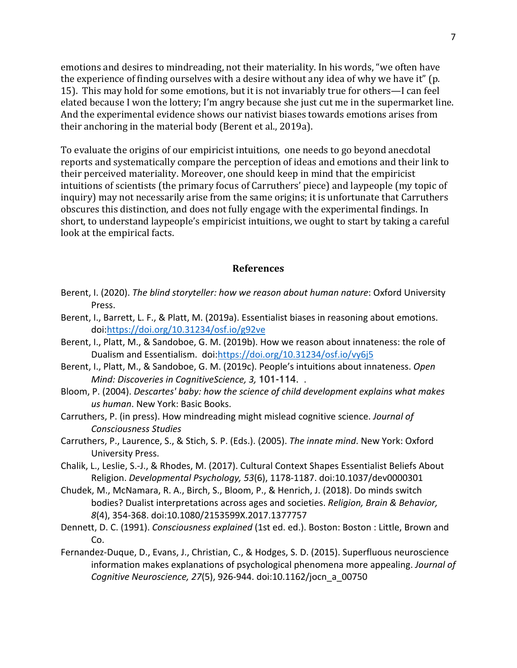emotions and desires to mindreading, not their materiality. In his words, "we often have the experience of finding ourselves with a desire without any idea of why we have it" (p. 15). This may hold for some emotions, but it is not invariably true for others—I can feel elated because I won the lottery; I'm angry because she just cut me in the supermarket line. And the experimental evidence shows our nativist biases towards emotions arises from their anchoring in the material body (Berent et al., 2019a).

To evaluate the origins of our empiricist intuitions, one needs to go beyond anecdotal reports and systematically compare the perception of ideas and emotions and their link to their perceived materiality. Moreover, one should keep in mind that the empiricist intuitions of scientists (the primary focus of Carruthers' piece) and laypeople (my topic of inquiry) may not necessarily arise from the same origins; it is unfortunate that Carruthers obscures this distinction, and does not fully engage with the experimental findings. In short, to understand laypeople's empiricist intuitions, we ought to start by taking a careful look at the empirical facts.

#### **References**

- Berent, I. (2020). *The blind storyteller: how we reason about human nature*: Oxford University Press.
- Berent, I., Barrett, L. F., & Platt, M. (2019a). Essentialist biases in reasoning about emotions. doi:https://doi.org/10.31234/osf.io/g92ve
- Berent, I., Platt, M., & Sandoboe, G. M. (2019b). How we reason about innateness: the role of Dualism and Essentialism. doi:https://doi.org/10.31234/osf.io/vy6j5
- Berent, I., Platt, M., & Sandoboe, G. M. (2019c). People's intuitions about innateness. *Open Mind: Discoveries in CognitiveScience, 3,* 101-114. .
- Bloom, P. (2004). *Descartes' baby: how the science of child development explains what makes us human*. New York: Basic Books.
- Carruthers, P. (in press). How mindreading might mislead cognitive science. *Journal of Consciousness Studies*
- Carruthers, P., Laurence, S., & Stich, S. P. (Eds.). (2005). *The innate mind*. New York: Oxford University Press.
- Chalik, L., Leslie, S.-J., & Rhodes, M. (2017). Cultural Context Shapes Essentialist Beliefs About Religion. *Developmental Psychology, 53*(6), 1178-1187. doi:10.1037/dev0000301
- Chudek, M., McNamara, R. A., Birch, S., Bloom, P., & Henrich, J. (2018). Do minds switch bodies? Dualist interpretations across ages and societies. *Religion, Brain & Behavior, 8*(4), 354-368. doi:10.1080/2153599X.2017.1377757
- Dennett, D. C. (1991). *Consciousness explained* (1st ed. ed.). Boston: Boston : Little, Brown and Co.
- Fernandez-Duque, D., Evans, J., Christian, C., & Hodges, S. D. (2015). Superfluous neuroscience information makes explanations of psychological phenomena more appealing. *Journal of Cognitive Neuroscience, 27*(5), 926-944. doi:10.1162/jocn\_a\_00750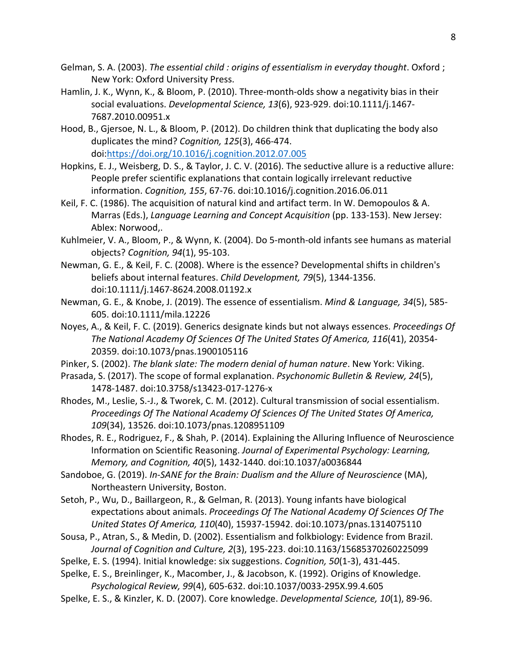- Gelman, S. A. (2003). *The essential child : origins of essentialism in everyday thought*. Oxford ; New York: Oxford University Press.
- Hamlin, J. K., Wynn, K., & Bloom, P. (2010). Three-month-olds show a negativity bias in their social evaluations. *Developmental Science, 13*(6), 923-929. doi:10.1111/j.1467- 7687.2010.00951.x
- Hood, B., Gjersoe, N. L., & Bloom, P. (2012). Do children think that duplicating the body also duplicates the mind? *Cognition, 125*(3), 466-474. doi:https://doi.org/10.1016/j.cognition.2012.07.005
- Hopkins, E. J., Weisberg, D. S., & Taylor, J. C. V. (2016). The seductive allure is a reductive allure: People prefer scientific explanations that contain logically irrelevant reductive information. *Cognition, 155*, 67-76. doi:10.1016/j.cognition.2016.06.011
- Keil, F. C. (1986). The acquisition of natural kind and artifact term. In W. Demopoulos & A. Marras (Eds.), *Language Learning and Concept Acquisition* (pp. 133-153). New Jersey: Ablex: Norwood,.
- Kuhlmeier, V. A., Bloom, P., & Wynn, K. (2004). Do 5-month-old infants see humans as material objects? *Cognition, 94*(1), 95-103.
- Newman, G. E., & Keil, F. C. (2008). Where is the essence? Developmental shifts in children's beliefs about internal features. *Child Development, 79*(5), 1344-1356. doi:10.1111/j.1467-8624.2008.01192.x
- Newman, G. E., & Knobe, J. (2019). The essence of essentialism. *Mind & Language, 34*(5), 585- 605. doi:10.1111/mila.12226
- Noyes, A., & Keil, F. C. (2019). Generics designate kinds but not always essences. *Proceedings Of The National Academy Of Sciences Of The United States Of America, 116*(41), 20354- 20359. doi:10.1073/pnas.1900105116
- Pinker, S. (2002). *The blank slate: The modern denial of human nature*. New York: Viking.
- Prasada, S. (2017). The scope of formal explanation. *Psychonomic Bulletin & Review, 24*(5), 1478-1487. doi:10.3758/s13423-017-1276-x
- Rhodes, M., Leslie, S.-J., & Tworek, C. M. (2012). Cultural transmission of social essentialism. *Proceedings Of The National Academy Of Sciences Of The United States Of America, 109*(34), 13526. doi:10.1073/pnas.1208951109
- Rhodes, R. E., Rodriguez, F., & Shah, P. (2014). Explaining the Alluring Influence of Neuroscience Information on Scientific Reasoning. *Journal of Experimental Psychology: Learning, Memory, and Cognition, 40*(5), 1432-1440. doi:10.1037/a0036844
- Sandoboe, G. (2019). *In-SANE for the Brain: Dualism and the Allure of Neuroscience* (MA), Northeastern University, Boston.
- Setoh, P., Wu, D., Baillargeon, R., & Gelman, R. (2013). Young infants have biological expectations about animals. *Proceedings Of The National Academy Of Sciences Of The United States Of America, 110*(40), 15937-15942. doi:10.1073/pnas.1314075110
- Sousa, P., Atran, S., & Medin, D. (2002). Essentialism and folkbiology: Evidence from Brazil. *Journal of Cognition and Culture, 2*(3), 195-223. doi:10.1163/15685370260225099
- Spelke, E. S. (1994). Initial knowledge: six suggestions. *Cognition, 50*(1-3), 431-445.
- Spelke, E. S., Breinlinger, K., Macomber, J., & Jacobson, K. (1992). Origins of Knowledge. *Psychological Review, 99*(4), 605-632. doi:10.1037/0033-295X.99.4.605
- Spelke, E. S., & Kinzler, K. D. (2007). Core knowledge. *Developmental Science, 10*(1), 89-96.